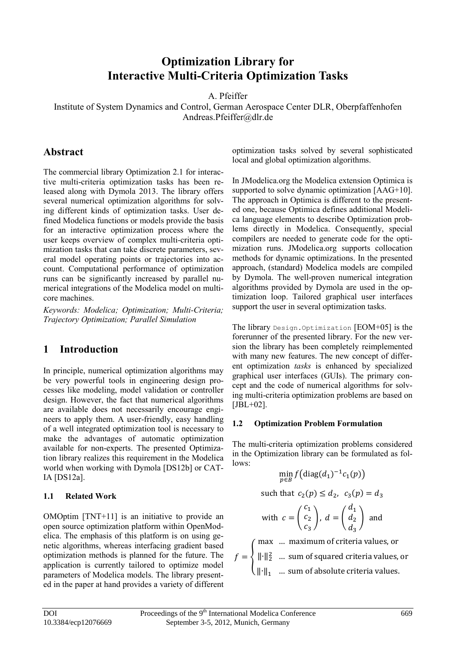# **Optimization Library for Interactive Multi-Criteria Optimization Tasks**

A. Pfeiffer

Institute of System Dynamics and Control, German Aerospace Center DLR, Oberpfaffenhofen Andreas.Pfeiffer@dlr.de

### **Abstract**

The commercial library Optimization 2.1 for interactive multi-criteria optimization tasks has been released along with Dymola 2013. The library offers several numerical optimization algorithms for solving different kinds of optimization tasks. User defined Modelica functions or models provide the basis for an interactive optimization process where the user keeps overview of complex multi-criteria optimization tasks that can take discrete parameters, sev- mization runs eral model operating points or trajectories into account. Computational performance of optimization runs can be significantly increased by parallel numerical integrations of the Modelica model on multicore machines.

*Keywords: Modelica; Optimization; Multi-Criteria; Trajectory Optimization; Parallel Simulation*

### **1 Introduction**

In principle, numerical optimization algorithms may be very powerful tools in engineering design processes like modeling, model validation or controller design. However, the fact that numerical algorithms are available does not necessarily encourage engineers to apply them. A user-friendly, easy handling of a well integrated optimization tool is necessary to make the advantages of automatic optimization available for non-experts. The presented Optimization library realizes this requirement in the Modelica world when working with Dymola [DS12b] or CAT-IA [DS12a].

### **1.1 Related Work**

OMOptim [TNT+11] is an initiative to provide an open source optimization platform within OpenModelica. The emphasis of this platform is on using genetic algorithms, whereas interfacing gradient based optimization methods is planned for the future. The application is currently tailored to optimize model parameters of Modelica models. The library presented in the paper at hand provides a variety of different

optimization tasks solved by several sophisticated local and global optimization algorithms.

In JModelica.org the Modelica extension Optimica is supported to solve dynamic optimization [AAG+10]. The approach in Optimica is different to the presented one, because Optimica defines additional Modelica language elements to describe Optimization problems directly in Modelica. Consequently, special compilers are needed to generate code for the optimization runs. JModelica.org supports collocation methods for dynamic optimizations. In the presented approach, (standard) Modelica models are compiled by Dymola. The well-proven numerical integration algorithms provided by Dymola are used in the optimization loop. Tailored graphical user interfaces support the user in several optimization tasks.

The library Design.Optimization [EOM+05] is the forerunner of the presented library. For the new version the library has been completely reimplemented with many new features. The new concept of different optimization *tasks* is enhanced by specialized graphical user interfaces (GUIs). The primary concept and the code of numerical algorithms for solving multi-criteria optimization problems are based on  $[JBL+02]$ .

#### **1.2 Optimization Problem Formulation**

The multi-criteria optimization problems considered in the Optimization library can be formulated as follows:

$$
\min_{p\in B} f\big(\mathrm{diag}(d_1)^{-1}c_1(p)\big)
$$

such that  $c_2(p) \leq d_2$ ,  $c_3(p) = d_3$ 

with 
$$
c = \begin{pmatrix} c_1 \\ c_2 \\ c_3 \end{pmatrix}
$$
,  $d = \begin{pmatrix} d_1 \\ d_2 \\ d_3 \end{pmatrix}$  and

 $f = \{$ max … maximum of criteria values, or ‖∙‖2 <sup>2</sup> … sum of squared criteria values, or  $\|\cdot\|_1$  … sum of absolute criteria values.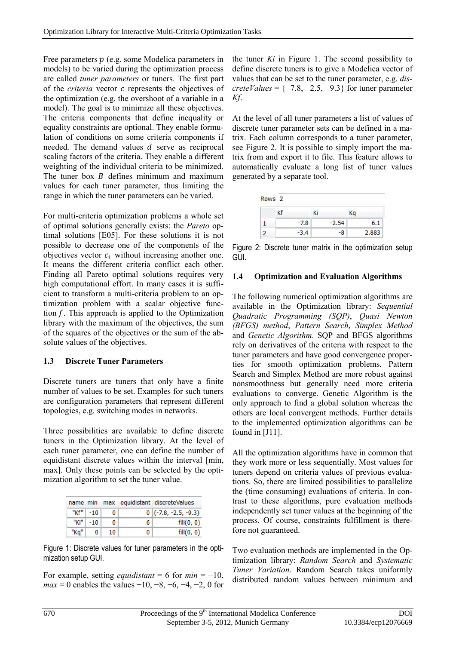Free parameters  $p$  (e.g. some Modelica parameters in models) to be varied during the optimization process are called *tuner parameters* or tuners. The first part of the *criteria* vector *c* represents the objectives of the optimization (e.g. the overshoot of a variable in a model). The goal is to minimize all these objectives. The criteria components that define inequality or equality constraints are optional. They enable formulation of conditions on some criteria components if needed. The demand values  $d$  serve as reciprocal scaling factors of the criteria. They enable a different weighting of the individual criteria to be minimized. The tuner box  $B$  defines minimum and maximum values for each tuner parameter, thus limiting the range in which the tuner parameters can be varied.

For multi-criteria optimization problems a whole set of optimal solutions generally exists: the *Pareto* optimal solutions [E05]. For these solutions it is not possible to decrease one of the components of the objectives vector  $c_1$  without increasing another one. It means the different criteria conflict each other. Finding all Pareto optimal solutions requires very high computational effort. In many cases it is sufficient to transform a multi-criteria problem to an optimization problem with a scalar objective function  $f$ . This approach is applied to the Optimization library with the maximum of the objectives, the sum of the squares of the objectives or the sum of the absolute values of the objectives.

### **1.3 Discrete Tuner Parameters**

Discrete tuners are tuners that only have a finite number of values to be set. Examples for such tuners are configuration parameters that represent different topologies, e.g. switching modes in networks.

Three possibilities are available to define discrete tuners in the Optimization library. At the level of each tuner parameter, one can define the number of equidistant discrete values within the interval [min, max]. Only these points can be selected by the optimization algorithm to set the tuner value.

|      |              |    |       | name min max equidistant discreteValues |
|------|--------------|----|-------|-----------------------------------------|
|      | " $Kf''$ -10 |    |       | $0$ {-7.8, -2.5, -9.3}                  |
|      | " $Ki"$ -10  |    | - 6 ≗ | fill(0, 0)                              |
| "Ka" |              | 10 |       | fill(0, 0)                              |

<span id="page-1-0"></span>Figure 1: Discrete values for tuner parameters in the optimization setup GUI.

For example, setting *equidistant* = 6 for  $min = -10$ , *max* = 0 enables the values  $-10$ ,  $-8$ ,  $-6$ ,  $-4$ ,  $-2$ , 0 for the tuner *Ki* in [Figure 1.](#page-1-0) The second possibility to define discrete tuners is to give a Modelica vector of values that can be set to the tuner parameter, e.g. *discreteValues* =  $\{-7.8, -2.5, -9.3\}$  for tuner parameter *Kf*.

At the level of all tuner parameters a list of values of discrete tuner parameter sets can be defined in a matrix. Each column corresponds to a tuner parameter, see [Figure 2.](#page-1-1) It is possible to simply import the matrix from and export it to file. This feature allows to automatically evaluate a long list of tuner values generated by a separate tool.

| Rows 2 |    |        |    |         |       |
|--------|----|--------|----|---------|-------|
|        | Кf |        | Кi |         | Кq    |
|        |    | $-7.8$ |    | $-2.54$ | 6.1   |
|        |    | $-3.4$ |    | -8      | 2.883 |

<span id="page-1-1"></span>Figure 2: Discrete tuner matrix in the optimization setup GUI.

#### <span id="page-1-2"></span>**1.4 Optimization and Evaluation Algorithms**

The following numerical optimization algorithms are available in the Optimization library: *Sequential Quadratic Programming (SQP)*, *Quasi Newton (BFGS) method*, *Pattern Search*, *Simplex Method* and *Genetic Algorithm*. SQP and BFGS algorithms rely on derivatives of the criteria with respect to the tuner parameters and have good convergence properties for smooth optimization problems. Pattern Search and Simplex Method are more robust against nonsmoothness but generally need more criteria evaluations to converge. Genetic Algorithm is the only approach to find a global solution whereas the others are local convergent methods. Further details to the implemented optimization algorithms can be found in [J11].

All the optimization algorithms have in common that they work more or less sequentially. Most values for tuners depend on criteria values of previous evaluations. So, there are limited possibilities to parallelize the (time consuming) evaluations of criteria. In contrast to these algorithms, pure evaluation methods independently set tuner values at the beginning of the process. Of course, constraints fulfillment is therefore not guaranteed.

Two evaluation methods are implemented in the Optimization library: *Random Search* and *Systematic Tuner Variation*. Random Search takes uniformly distributed random values between minimum and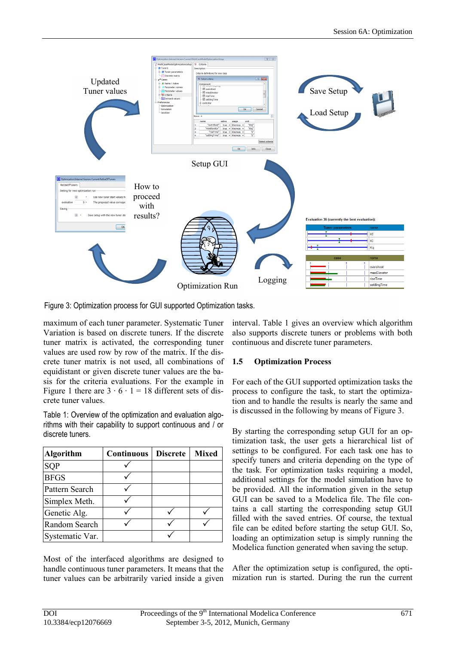

<span id="page-2-1"></span>Figure 3: Optimization process for GUI supported Optimization tasks.

maximum of each tuner parameter. Systematic Tuner Variation is based on discrete tuners. If the discrete tuner matrix is activated, the corresponding tuner values are used row by row of the matrix. If the discrete tuner matrix is not used, all combinations of equidistant or given discrete tuner values are the basis for the criteria evaluations. For the example in [Figure 1](#page-1-0) there are  $3 \cdot 6 \cdot 1 = 18$  different sets of discrete tuner values.

<span id="page-2-0"></span>Table 1: Overview of the optimization and evaluation algorithms with their capability to support continuous and / or discrete tuners.

| <b>Algorithm</b> | <b>Continuous</b> | <b>Discrete</b> | <b>Mixed</b> |
|------------------|-------------------|-----------------|--------------|
| SQP              |                   |                 |              |
| <b>BFGS</b>      |                   |                 |              |
| Pattern Search   |                   |                 |              |
| Simplex Meth.    |                   |                 |              |
| Genetic Alg.     |                   |                 |              |
| Random Search    |                   |                 |              |
| Systematic Var.  |                   |                 |              |

Most of the interfaced algorithms are designed to handle continuous tuner parameters. It means that the tuner values can be arbitrarily varied inside a given

interval. [Table 1](#page-2-0) gives an overview which algorithm also supports discrete tuners or problems with both continuous and discrete tuner parameters.

#### **1.5 Optimization Process**

For each of the GUI supported optimization tasks the process to configure the task, to start the optimization and to handle the results is nearly the same and is discussed in the following by means of [Figure 3.](#page-2-1)

By starting the corresponding setup GUI for an optimization task, the user gets a hierarchical list of settings to be configured. For each task one has to specify tuners and criteria depending on the type of the task. For optimization tasks requiring a model, additional settings for the model simulation have to be provided. All the information given in the setup GUI can be saved to a Modelica file. The file contains a call starting the corresponding setup GUI filled with the saved entries. Of course, the textual file can be edited before starting the setup GUI. So, loading an optimization setup is simply running the Modelica function generated when saving the setup.

After the optimization setup is configured, the optimization run is started. During the run the current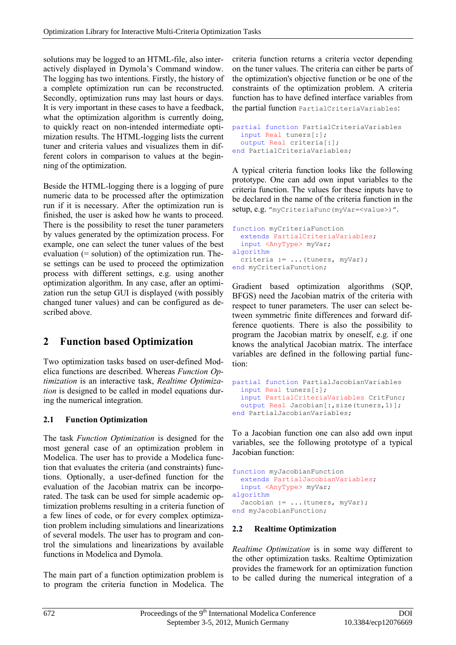solutions may be logged to an HTML-file, also interactively displayed in Dymola's Command window. The logging has two intentions. Firstly, the history of a complete optimization run can be reconstructed. Secondly, optimization runs may last hours or days. It is very important in these cases to have a feedback, what the optimization algorithm is currently doing, to quickly react on non-intended intermediate optimization results. The HTML-logging lists the current tuner and criteria values and visualizes them in different colors in comparison to values at the beginning of the optimization.

Beside the HTML-logging there is a logging of pure numeric data to be processed after the optimization run if it is necessary. After the optimization run is finished, the user is asked how he wants to proceed. There is the possibility to reset the tuner parameters by values generated by the optimization process. For example, one can select the tuner values of the best evaluation (= solution) of the optimization run. These settings can be used to proceed the optimization process with different settings, e.g. using another optimization algorithm. In any case, after an optimization run the setup GUI is displayed (with possibly changed tuner values) and can be configured as described above.

# **2 Function based Optimization**

Two optimization tasks based on user-defined Modelica functions are described. Whereas *Function Optimization* is an interactive task, *Realtime Optimization* is designed to be called in model equations during the numerical integration.

### **2.1 Function Optimization**

The task *Function Optimization* is designed for the most general case of an optimization problem in Modelica. The user has to provide a Modelica function that evaluates the criteria (and constraints) functions. Optionally, a user-defined function for the evaluation of the Jacobian matrix can be incorporated. The task can be used for simple academic optimization problems resulting in a criteria function of a few lines of code, or for every complex optimization problem including simulations and linearizations of several models. The user has to program and control the simulations and linearizations by available functions in Modelica and Dymola.

The main part of a function optimization problem is to program the criteria function in Modelica. The criteria function returns a criteria vector depending on the tuner values. The criteria can either be parts of the optimization's objective function or be one of the constraints of the optimization problem. A criteria function has to have defined interface variables from the partial function PartialCriteriaVariables:

```
partial function PartialCriteriaVariables
   input Real tuners[:];
   output Real criteria[:];
end PartialCriteriaVariables;
```
A typical criteria function looks like the following prototype. One can add own input variables to the criteria function. The values for these inputs have to be declared in the name of the criteria function in the setup, e.g. "myCriteriaFunc(myVar=<value>)".

```
function myCriteriaFunction
   extends PartialCriteriaVariables;
   input <AnyType> myVar;
algorithm
 criteria := ... (tuners, myVar);
end myCriteriaFunction;
```
Gradient based optimization algorithms (SQP, BFGS) need the Jacobian matrix of the criteria with respect to tuner parameters. The user can select between symmetric finite differences and forward difference quotients. There is also the possibility to program the Jacobian matrix by oneself, e.g. if one knows the analytical Jacobian matrix. The interface variables are defined in the following partial function:

```
partial function PartialJacobianVariables
   input Real tuners[:]; 
   input PartialCriteriaVariables CritFunc;
  output Real Jacobian[:, size(tuners, 1)];
end PartialJacobianVariables;
```
To a Jacobian function one can also add own input variables, see the following prototype of a typical Jacobian function:

```
function myJacobianFunction
   extends PartialJacobianVariables;
   input <AnyType> myVar; 
algorithm
  Jacobian := ...(tuners, myVar);
end myJacobianFunction;
```
### **2.2 Realtime Optimization**

*Realtime Optimization* is in some way different to the other optimization tasks. Realtime Optimization provides the framework for an optimization function to be called during the numerical integration of a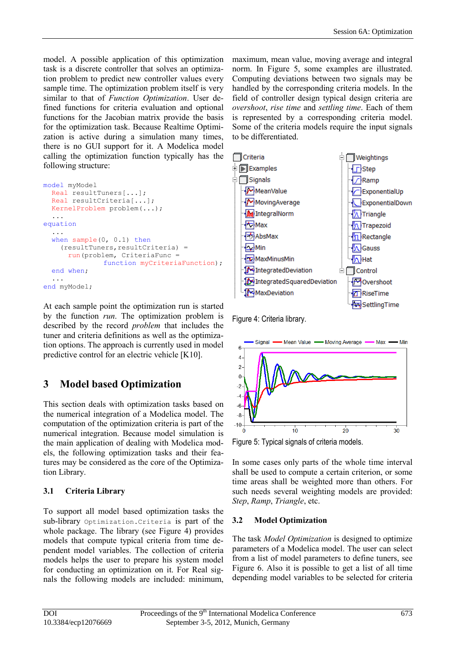model. A possible application of this optimization task is a discrete controller that solves an optimization problem to predict new controller values every sample time. The optimization problem itself is very similar to that of *Function Optimization*. User defined functions for criteria evaluation and optional functions for the Jacobian matrix provide the basis for the optimization task. Because Realtime Optimization is active during a simulation many times, there is no GUI support for it. A Modelica model calling the optimization function typically has the following structure:

```
model myModel
   Real resultTuners[...];
   Real resultCriteria[...];
   KernelProblem problem(...);
   ...
equation
   ...
  when sample(0, 0.1) then
    (resultTuners, resultCriteria) =run(problem, CriteriaFunc =
                function myCriteriaFunction);
   end when;
 ...
end myModel;
```
At each sample point the optimization run is started by the function *run*. The optimization problem is described by the record *problem* that includes the tuner and criteria definitions as well as the optimization options. The approach is currently used in model predictive control for an electric vehicle [K10].

# **3 Model based Optimization**

This section deals with optimization tasks based on the numerical integration of a Modelica model. The computation of the optimization criteria is part of the numerical integration. Because model simulation is the main application of dealing with Modelica models, the following optimization tasks and their features may be considered as the core of the Optimization Library.

### <span id="page-4-2"></span>**3.1 Criteria Library**

To support all model based optimization tasks the sub-library Optimization.Criteria is part of the whole package. The library (see [Figure](#page-4-0) 4) provides models that compute typical criteria from time dependent model variables. The collection of criteria models helps the user to prepare his system model for conducting an optimization on it. For Real signals the following models are included: minimum,

maximum, mean value, moving average and integral norm. In [Figure 5,](#page-4-1) some examples are illustrated. Computing deviations between two signals may be handled by the corresponding criteria models. In the field of controller design typical design criteria are *overshoot*, *rise time* and *settling time*. Each of them is represented by a corresponding criteria model. Some of the criteria models require the input signals to be differentiated.



<span id="page-4-0"></span>Figure 4: Criteria library.



<span id="page-4-1"></span>Figure 5: Typical signals of criteria models.

In some cases only parts of the whole time interval shall be used to compute a certain criterion, or some time areas shall be weighted more than others. For such needs several weighting models are provided: *Step*, *Ramp*, *Triangle*, etc.

### **3.2 Model Optimization**

The task *Model Optimization* is designed to optimize parameters of a Modelica model. The user can select from a list of model parameters to define tuners, see [Figure 6.](#page-5-0) Also it is possible to get a list of all time depending model variables to be selected for criteria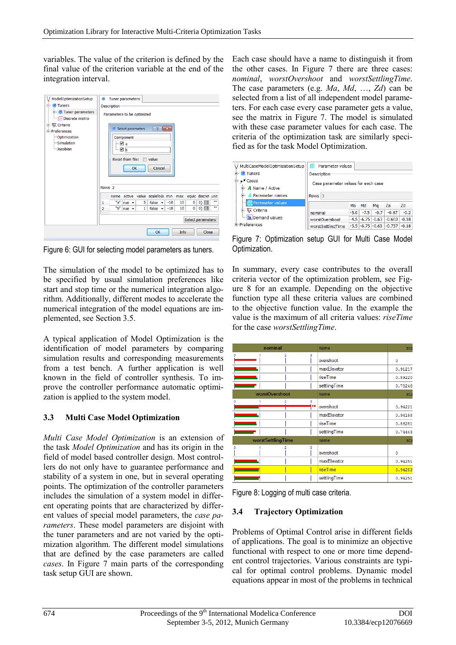variables. The value of the criterion is defined by the final value of the criterion variable at the end of the integration interval.

| ModelOptimizationSetup<br><b>E</b> <i>I</i> Tuners<br><b>E-</b> Tuner parameters<br>Discrete matrix<br><b>E</b> Mx Criteria | Tuner parameters<br>٠<br><b>Description</b><br>Parameters to be optimized<br>$\frac{1}{2}$ $\mathbf{x}$<br>Select parameters |  |  |  |  |  |  |
|-----------------------------------------------------------------------------------------------------------------------------|------------------------------------------------------------------------------------------------------------------------------|--|--|--|--|--|--|
| <b><sup>≐</sup></b> ·Preferences<br>-Optimization<br>-Simulation<br>-Jacobian                                               | Component<br>⊡a<br>$-\boxtimes$ b<br>Reset from file: Nalue<br>Cancel<br>OK                                                  |  |  |  |  |  |  |
|                                                                                                                             | Rows <sub>2</sub>                                                                                                            |  |  |  |  |  |  |
|                                                                                                                             | active value scaleToB( min<br>max equic discret unit<br>name                                                                 |  |  |  |  |  |  |
|                                                                                                                             | <b>HH</b><br>"a"<br>$0)$ $\mathbb{H}$<br>5<br>$-10$<br>10<br>0<br>false $\mathbf{v}$<br>1<br>rue $\rightarrow$               |  |  |  |  |  |  |
|                                                                                                                             | $0)$ iii<br>m<br>"b"<br>10<br>0<br>2<br>1 <sup>1</sup><br>false $\mathbf{v}$<br>$-10$<br>rue $\star$                         |  |  |  |  |  |  |
|                                                                                                                             | Select parameters                                                                                                            |  |  |  |  |  |  |
|                                                                                                                             | <b>Info</b><br>OK<br>Close                                                                                                   |  |  |  |  |  |  |

<span id="page-5-0"></span>Figure 6: GUI for selecting model parameters as tuners.

The simulation of the model to be optimized has to be specified by usual simulation preferences like start and stop time or the numerical integration algorithm. Additionally, different modes to accelerate the numerical integration of the model equations are implemented, see Section [3.5.](#page-6-0)

A typical application of Model Optimization is the identification of model parameters by comparing simulation results and corresponding measurements from a test bench. A further application is well known in the field of controller synthesis. To improve the controller performance automatic optimization is applied to the system model.

### <span id="page-5-3"></span>**3.3 Multi Case Model Optimization**

*Multi Case Model Optimization* is an extension of the task *Model Optimization* and has its origin in the field of model based controller design. Most controllers do not only have to guarantee performance and stability of a system in one, but in several operating points. The optimization of the controller parameters includes the simulation of a system model in different operating points that are characterized by different values of special model parameters, the *case parameters*. These model parameters are disjoint with the tuner parameters and are not varied by the optimization algorithm. The different model simulations that are defined by the case parameters are called *cases*. In [Figure](#page-5-1) 7 main parts of the corresponding task setup GUI are shown.

Each case should have a name to distinguish it from the other cases. In [Figure](#page-5-1) 7 there are three cases: *nominal*, *worstOvershoot* and *worstSettlingTime*. The case parameters (e.g. *Ma*, *Md*, …, *Zd*) can be selected from a list of all independent model parameters. For each case every case parameter gets a value, see the matrix in [Figure](#page-5-1) 7. The model is simulated with these case parameter values for each case. The criteria of the optimization task are similarly specified as for the task Model Optimization.



<span id="page-5-1"></span>Figure 7: Optimization setup GUI for Multi Case Model Optimization.

In summary, every case contributes to the overall criteria vector of the optimization problem, see [Fig](#page-5-2)[ure](#page-5-2) 8 for an example. Depending on the objective function type all these criteria values are combined to the objective function value. In the example the value is the maximum of all criteria values: *riseTime* for the case *worstSettlingTime*.

| nominal           | name         | sca      |
|-------------------|--------------|----------|
| 3                 | overshoot    | ٥        |
|                   | maxElevator  | 0.91217  |
|                   | riseTime     | 0.89220  |
|                   | settlingTime | 0.78246  |
| worstOvershoot    | name         | sca      |
|                   | overshoot    | 0.94221  |
|                   | maxElevator  | 0.94158  |
|                   | riseTime     | 0.86281  |
|                   | settlingTime | 0.74443  |
| worstSettlingTime | name         | sca      |
| 3                 | overshoot    | $\Omega$ |
|                   | maxElevator  | 0.94251  |
|                   | riseTime     | 0.94253  |
|                   | settlingTime | 0.94251  |

<span id="page-5-2"></span>Figure 8: Logging of multi case criteria.

### **3.4 Trajectory Optimization**

Problems of Optimal Control arise in different fields of applications. The goal is to minimize an objective functional with respect to one or more time dependent control trajectories. Various constraints are typical for optimal control problems. Dynamic model equations appear in most of the problems in technical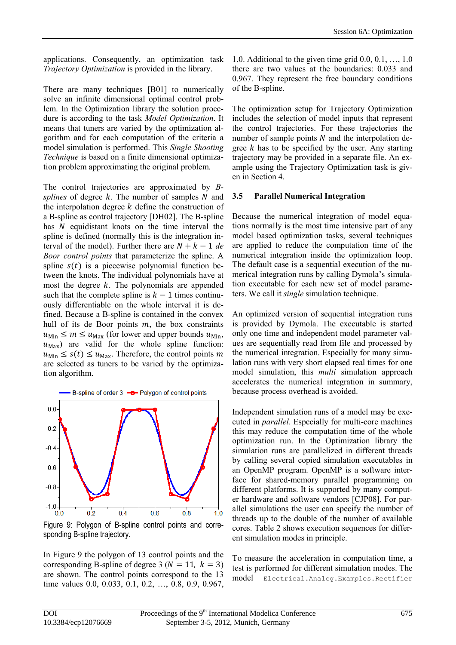applications. Consequently, an optimization task *Trajectory Optimization* is provided in the library.

There are many techniques [B01] to numerically solve an infinite dimensional optimal control problem. In the Optimization library the solution procedure is according to the task *Model Optimization*. It means that tuners are varied by the optimization algorithm and for each computation of the criteria a model simulation is performed. This *Single Shooting Technique* is based on a finite dimensional optimization problem approximating the original problem.

The control trajectories are approximated by *Bsplines* of degree  $k$ . The number of samples  $N$  and the interpolation degree  $k$  define the construction of a B-spline as control trajectory [DH02]. The B-spline has  $N$  equidistant knots on the time interval the spline is defined (normally this is the integration interval of the model). Further there are  $N + k - 1$  *de Boor control points* that parameterize the spline. A spline  $s(t)$  is a piecewise polynomial function between the knots. The individual polynomials have at most the degree  $k$ . The polynomials are appended such that the complete spline is  $k - 1$  times continuously differentiable on the whole interval it is defined. Because a B-spline is contained in the convex hull of its de Boor points  $m$ , the box constraints  $u_{\text{Min}} \le m \le u_{\text{Max}}$  (for lower and upper bounds  $u_{\text{Min}}$ ,  $u_{\text{Max}}$ ) are valid for the whole spline function:  $u_{\text{Min}} \leq s(t) \leq u_{\text{Max}}$ . Therefore, the control points m are selected as tuners to be varied by the optimization algorithm.



<span id="page-6-1"></span>Figure 9: Polygon of B-spline control points and corresponding B-spline trajectory.

<span id="page-6-0"></span>In [Figure](#page-6-1) 9 the polygon of 13 control points and the corresponding B-spline of degree 3 ( $N = 11$ ,  $k = 3$ ) are shown. The control points correspond to the 13 time values 0.0, 0.033, 0.1, 0.2, …, 0.8, 0.9, 0.967,

1.0. Additional to the given time grid 0.0, 0.1, …, 1.0 there are two values at the boundaries: 0.033 and 0.967. They represent the free boundary conditions of the B-spline.

The optimization setup for Trajectory Optimization includes the selection of model inputs that represent the control trajectories. For these trajectories the number of sample points  $N$  and the interpolation degree  $k$  has to be specified by the user. Any starting trajectory may be provided in a separate file. An example using the Trajectory Optimization task is given in Section [4](#page-7-0).

#### **3.5 Parallel Numerical Integration**

Because the numerical integration of model equations normally is the most time intensive part of any model based optimization tasks, several techniques are applied to reduce the computation time of the numerical integration inside the optimization loop. The default case is a sequential execution of the numerical integration runs by calling Dymola's simulation executable for each new set of model parameters. We call it *single* simulation technique.

An optimized version of sequential integration runs is provided by Dymola. The executable is started only one time and independent model parameter values are sequentially read from file and processed by the numerical integration. Especially for many simulation runs with very short elapsed real times for one model simulation, this *multi* simulation approach accelerates the numerical integration in summary, because process overhead is avoided.

Independent simulation runs of a model may be executed in *parallel*. Especially for multi-core machines this may reduce the computation time of the whole optimization run. In the Optimization library the simulation runs are parallelized in different threads by calling several copied simulation executables in an OpenMP program. OpenMP is a software interface for shared-memory parallel programming on different platforms. It is supported by many computer hardware and software vendors [CJP08]. For parallel simulations the user can specify the number of threads up to the double of the number of available cores. [Table 2](#page-7-1) shows execution sequences for different simulation modes in principle.

To measure the acceleration in computation time, a test is performed for different simulation modes. The model Electrical.Analog.Examples.Rectifier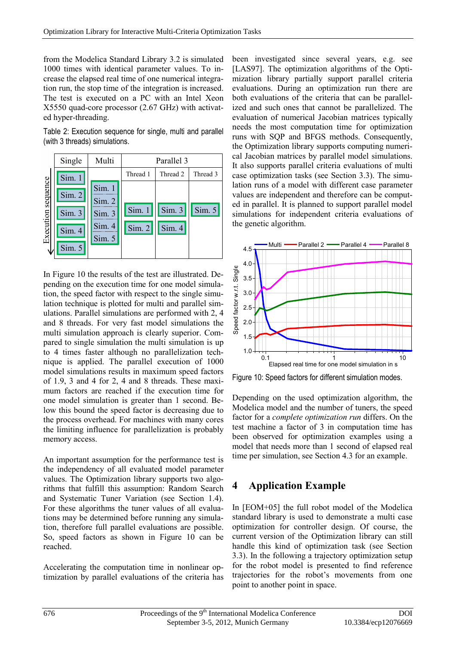from the Modelica Standard Library 3.2 is simulated 1000 times with identical parameter values. To increase the elapsed real time of one numerical integration run, the stop time of the integration is increased. The test is executed on a PC with an Intel Xeon X5550 quad-core processor (2.67 GHz) with activated hyper-threading.

<span id="page-7-1"></span>Table 2: Execution sequence for single, multi and parallel (with 3 threads) simulations.



In [Figure 10](#page-7-2) the results of the test are illustrated. Depending on the execution time for one model simulation, the speed factor with respect to the single simulation technique is plotted for multi and parallel simulations. Parallel simulations are performed with 2, 4 and 8 threads. For very fast model simulations the multi simulation approach is clearly superior. Compared to single simulation the multi simulation is up to 4 times faster although no parallelization technique is applied. The parallel execution of 1000 model simulations results in maximum speed factors of 1.9, 3 and 4 for 2, 4 and 8 threads. These maximum factors are reached if the execution time for one model simulation is greater than 1 second. Below this bound the speed factor is decreasing due to the process overhead. For machines with many cores the limiting influence for parallelization is probably memory access.

An important assumption for the performance test is the independency of all evaluated model parameter values. The Optimization library supports two algorithms that fulfill this assumption: Random Search and Systematic Tuner Variation (see Section [1.4](#page-1-2)). For these algorithms the tuner values of all evaluations may be determined before running any simulation, therefore full parallel evaluations are possible. So, speed factors as shown in [Figure 10](#page-7-2) can be reached.

Accelerating the computation time in nonlinear optimization by parallel evaluations of the criteria has been investigated since several years, e.g. see [LAS97]. The optimization algorithms of the Optimization library partially support parallel criteria evaluations. During an optimization run there are both evaluations of the criteria that can be parallelized and such ones that cannot be parallelized. The evaluation of numerical Jacobian matrices typically needs the most computation time for optimization runs with SQP and BFGS methods. Consequently, the Optimization library supports computing numerical Jacobian matrices by parallel model simulations. It also supports parallel criteria evaluations of multi case optimization tasks (see Section [3.3\)](#page-5-3). The simulation runs of a model with different case parameter values are independent and therefore can be computed in parallel. It is planned to support parallel model simulations for independent criteria evaluations of the genetic algorithm.



<span id="page-7-2"></span>Figure 10: Speed factors for different simulation modes.

Depending on the used optimization algorithm, the Modelica model and the number of tuners, the speed factor for a *complete optimization run* differs. On the test machine a factor of 3 in computation time has been observed for optimization examples using a model that needs more than 1 second of elapsed real time per simulation, see Section [4.3](#page-9-0) for an example.

### <span id="page-7-0"></span>**4 Application Example**

In [EOM+05] the full robot model of the Modelica standard library is used to demonstrate a multi case optimization for controller design. Of course, the current version of the Optimization library can still handle this kind of optimization task (see Section [3.3\)](#page-5-3). In the following a trajectory optimization setup for the robot model is presented to find reference trajectories for the robot's movements from one point to another point in space.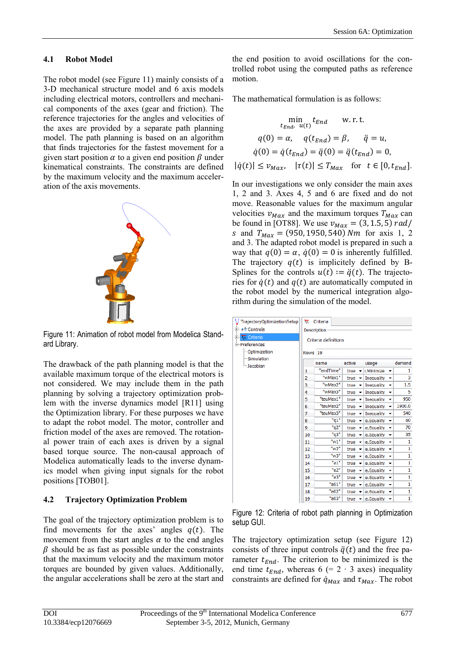#### **4.1 Robot Model**

The robot model (see [Figure 11\)](#page-8-0) mainly consists of a 3-D mechanical structure model and 6 axis models including electrical motors, controllers and mechanical components of the axes (gear and friction). The reference trajectories for the angles and velocities of the axes are provided by a separate path planning model. The path planning is based on an algorithm that finds trajectories for the fastest movement for a given start position  $\alpha$  to a given end position  $\beta$  under kinematical constraints. The constraints are defined by the maximum velocity and the maximum acceleration of the axis movements.



<span id="page-8-0"></span>Figure 11: Animation of robot model from Modelica Standard Library.

The drawback of the path planning model is that the available maximum torque of the electrical motors is not considered. We may include them in the path planning by solving a trajectory optimization problem with the inverse dynamics model [R11] using the Optimization library. For these purposes we have to adapt the robot model. The motor, controller and friction model of the axes are removed. The rotational power train of each axes is driven by a signal based torque source. The non-causal approach of Modelica automatically leads to the inverse dynamics model when giving input signals for the robot positions [TOB01].

### **4.2 Trajectory Optimization Problem**

The goal of the trajectory optimization problem is to find movements for the axes' angles  $q(t)$ . The movement from the start angles  $\alpha$  to the end angles  $\beta$  should be as fast as possible under the constraints that the maximum velocity and the maximum motor torques are bounded by given values. Additionally, the angular accelerations shall be zero at the start and

the end position to avoid oscillations for the controlled robot using the computed paths as reference motion.

The mathematical formulation is as follows:

$$
\min_{t_{End}, u(t)} t_{End} \quad \text{w.r.t.}
$$

$$
q(0) = \alpha, \quad q(t_{End}) = \beta, \quad \ddot{q} = u,
$$

$$
\dot{q}(0) = \dot{q}(t_{End}) = \ddot{q}(0) = \ddot{q}(t_{End}) = 0,
$$

$$
|\dot{q}(t)| \le v_{Max}, \quad |\tau(t)| \le T_{Max} \quad \text{for} \quad t \in [0, t_{End}].
$$

In our investigations we only consider the main axes 1, 2 and 3. Axes 4, 5 and 6 are fixed and do not move. Reasonable values for the maximum angular velocities  $v_{Max}$  and the maximum torques  $T_{Max}$  can be found in [OT88]. We use  $v_{Max} = (3, 1.5, 5) rad/$ s and  $T_{Max} = (950, 1950, 540) Nm$  for axis 1, 2 and 3. The adapted robot model is prepared in such a way that  $q(0) = \alpha$ ,  $\dot{q}(0) = 0$  is inherently fulfilled. The trajectory  $q(t)$  is implicitely defined by B-Splines for the controls  $u(t) := \ddot{q}(t)$ . The trajectories for  $\dot{q}(t)$  and  $q(t)$  are automatically computed in the robot model by the numerical integration algorithm during the simulation of the model.

| V TrajectoryOptimizationSetup | π.                   | Criteria  |                                  |                                           |        |  |
|-------------------------------|----------------------|-----------|----------------------------------|-------------------------------------------|--------|--|
| 白 ヘン Controls                 | Description          |           |                                  |                                           |        |  |
| <b>ENTITY Criteria</b>        | Criteria definitions |           |                                  |                                           |        |  |
| □ Preferences                 |                      |           |                                  |                                           |        |  |
| <b>Optimization</b>           | Rows <sub>19</sub>   |           |                                  |                                           |        |  |
| Simulation                    |                      |           |                                  |                                           |        |  |
| -Jacobian                     |                      | name      | active                           | usage                                     | demand |  |
|                               | 1                    | "endTime" | true<br>$\overline{\phantom{a}}$ | : Minimize<br>▼                           | 1      |  |
|                               | 2                    | "wMax1"   | true<br>$\overline{\phantom{a}}$ | Inequality<br>▼                           | 3      |  |
|                               | 3                    | "wMax2"   | true<br>$\overline{\phantom{a}}$ | <b>Inequality</b><br>$\blacktriangledown$ | 1.5    |  |
|                               | 4                    | "wMax3"   | true<br>$\overline{\phantom{a}}$ | <b>Inequality</b><br>۰                    | 5      |  |
|                               | 5                    | "tauMax1" | true<br>$\overline{\phantom{a}}$ | Inequality<br>$\blacktriangledown$        | 950    |  |
|                               | 6                    | "tauMax2" | true<br>$\overline{\phantom{a}}$ | Inequality<br>$\blacktriangledown$        | 1900.0 |  |
|                               | 7                    | "tauMax3" | true<br>٠                        | <b>Inequality</b><br>٠                    | 540    |  |
|                               | 8                    | "q1"      | true<br>$\overline{\phantom{a}}$ | e.Equality<br>▼                           | 60     |  |
|                               | 9                    | "q2"      | true<br>$\blacktriangledown$     | e.Equality<br>$\overline{\phantom{a}}$    | 70     |  |
|                               | 10                   | "q3"      | true<br>۰                        | e.Equality<br>$\blacktriangledown$        | 35     |  |
|                               | 11                   | "w1"      | true<br>۰                        | e.Equality<br>۰                           | 1      |  |
|                               | 12                   | "w2"      | true<br>$\overline{\phantom{a}}$ | e.Equality<br>$\overline{\phantom{a}}$    | 1      |  |
|                               | 13                   | "w3"      | true<br>۰                        | e.Equality<br>$\overline{\phantom{a}}$    | 1      |  |
|                               | 14                   | "a1"      | true<br>$\blacktriangledown$     | e.Equality<br>$\overline{\phantom{a}}$    | 1      |  |
|                               | 15                   | "a2"      | true<br>▼                        | e.Equality<br>$\overline{\phantom{a}}$    | 1      |  |
|                               | 16                   | "a3"      | true<br>$\overline{\phantom{a}}$ | e.Equality<br>▼                           | 1      |  |
|                               | 17                   | "a01"     | true<br>۰                        | e.Equality<br>$\overline{\phantom{a}}$    | 1      |  |
|                               | 18                   | "a02"     | true<br>$\overline{\phantom{a}}$ | e.Equality<br>$\overline{\phantom{a}}$    | 1      |  |
|                               | 19                   | "a03"     | true                             | e.Equality<br>▼                           | 1      |  |
|                               |                      |           |                                  |                                           |        |  |

<span id="page-8-1"></span>Figure 12: Criteria of robot path planning in Optimization setup GUI.

The trajectory optimization setup (see [Figure 12\)](#page-8-1) consists of three input controls  $\ddot{q}(t)$  and the free parameter  $t_{End}$ . The criterion to be minimized is the end time  $t_{End}$ , whereas 6 (= 2 ⋅ 3 axes) inequality constraints are defined for  $\dot{q}_{Max}$  and  $\tau_{Max}$ . The robot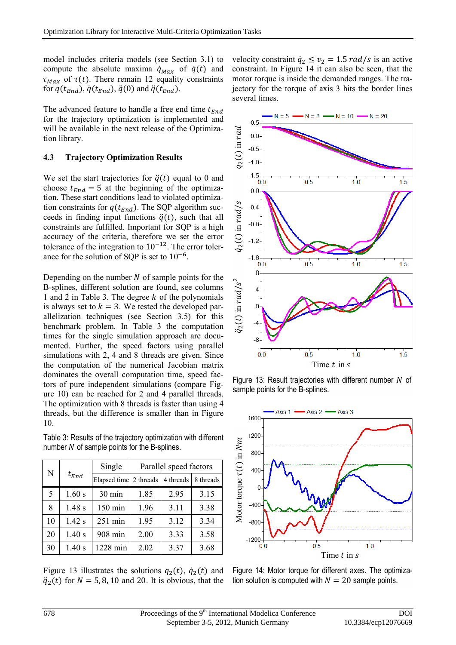model includes criteria models (see Section [3.1\)](#page-4-2) to compute the absolute maxima  $\dot{q}_{Max}$  of  $\dot{q}(t)$  and  $\tau_{Max}$  of  $\tau(t)$ . There remain 12 equality constraints for  $q(t_{End})$ ,  $\dot{q}(t_{End})$ ,  $\ddot{q}(0)$  and  $\ddot{q}(t_{End})$ .

The advanced feature to handle a free end time  $t_{End}$ for the trajectory optimization is implemented and will be available in the next release of the Optimization library.

#### <span id="page-9-0"></span>**4.3 Trajectory Optimization Results**

We set the start trajectories for  $\ddot{q}(t)$  equal to 0 and choose  $t_{End} = 5$  at the beginning of the optimization. These start conditions lead to violated optimization constraints for  $q(t_{End})$ . The SQP algorithm succeeds in finding input functions  $\ddot{q}(t)$ , such that all constraints are fulfilled. Important for SQP is a high accuracy of the criteria, therefore we set the error tolerance of the integration to  $10^{-12}$ . The error tolerance for the solution of SQP is set to 10−6.

Depending on the number  $N$  of sample points for the B-splines, different solution are found, see columns 1 and 2 in [Table 3.](#page-9-1) The degree  $k$  of the polynomials is always set to  $k = 3$ . We tested the developed parallelization techniques (see Section [3.5\)](#page-6-0) for this benchmark problem. In [Table 3](#page-9-1) the computation times for the single simulation approach are documented. Further, the speed factors using parallel simulations with 2, 4 and 8 threads are given. Since the computation of the numerical Jacobian matrix dominates the overall computation time, speed factors of pure independent simulations (compare [Fig](#page-7-2)[ure 10](#page-7-2)) can be reached for 2 and 4 parallel threads. The optimization with 8 threads is faster than using 4 threads, but the difference is smaller than in [Figure](#page-7-2)  [10.](#page-7-2)

<span id="page-9-1"></span>Table 3: Results of the trajectory optimization with different number  $N$  of sample points for the B-splines.

| N  |           | Single                 | Parallel speed factors |           |           |  |
|----|-----------|------------------------|------------------------|-----------|-----------|--|
|    | $t_{End}$ | Elapsed time 2 threads |                        | 4 threads | 8 threads |  |
| 5  | 1.60 s    | 30 min                 | 1.85                   | 2.95      | 3.15      |  |
| 8  | 1.48s     | 150 min                | 1.96                   | 3.11      | 3.38      |  |
| 10 | 1.42 s    | $251$ min              | 1.95                   | 3.12      | 3.34      |  |
| 20 | 1.40 s    | 908 min                | 2.00                   | 3.33      | 3.58      |  |
| 30 | 1.40 s    | 1228 min               | 2.02                   | 3.37      | 3.68      |  |

[Figure 13](#page-9-2) illustrates the solutions  $q_2(t)$ ,  $\dot{q}_2(t)$  and  $\ddot{q}_2(t)$  for  $N = 5, 8, 10$  and 20. It is obvious, that the

velocity constraint  $\dot{q}_2 \le v_2 = 1.5 \, rad/s$  is an active constraint. In [Figure](#page-9-3) 14 it can also be seen, that the motor torque is inside the demanded ranges. The trajectory for the torque of axis 3 hits the border lines several times.



<span id="page-9-2"></span>Figure 13: Result trajectories with different number  $N$  of sample points for the B-splines.



<span id="page-9-3"></span>Figure 14: Motor torque for different axes. The optimiza-